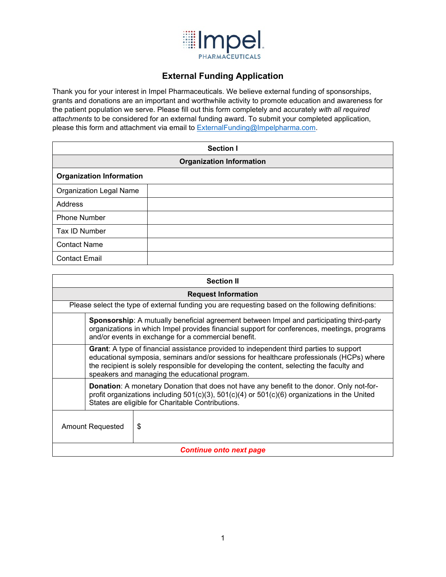

# **External Funding Application**

Thank you for your interest in Impel Pharmaceuticals. We believe external funding of sponsorships, grants and donations are an important and worthwhile activity to promote education and awareness for the patient population we serve. Please fill out this form completely and accurately *with all required attachments* to be considered for an external funding award. To submit your completed application, please this form and attachment via email to [ExternalFunding@Impelpharma.com.](mailto:ExternalFunding@Impelpharma.com)

| <b>Section I</b>                |  |  |
|---------------------------------|--|--|
| <b>Organization Information</b> |  |  |
| <b>Organization Information</b> |  |  |
| <b>Organization Legal Name</b>  |  |  |
| Address                         |  |  |
| <b>Phone Number</b>             |  |  |
| Tax ID Number                   |  |  |
| <b>Contact Name</b>             |  |  |
| <b>Contact Email</b>            |  |  |

| <b>Section II</b>                                                                                 |                                                                                                                                                                                                                                                                                                                                          |   |  |
|---------------------------------------------------------------------------------------------------|------------------------------------------------------------------------------------------------------------------------------------------------------------------------------------------------------------------------------------------------------------------------------------------------------------------------------------------|---|--|
| <b>Request Information</b>                                                                        |                                                                                                                                                                                                                                                                                                                                          |   |  |
| Please select the type of external funding you are requesting based on the following definitions: |                                                                                                                                                                                                                                                                                                                                          |   |  |
|                                                                                                   | <b>Sponsorship:</b> A mutually beneficial agreement between Impel and participating third-party<br>organizations in which Impel provides financial support for conferences, meetings, programs<br>and/or events in exchange for a commercial benefit.                                                                                    |   |  |
|                                                                                                   | <b>Grant:</b> A type of financial assistance provided to independent third parties to support<br>educational symposia, seminars and/or sessions for healthcare professionals (HCPs) where<br>the recipient is solely responsible for developing the content, selecting the faculty and<br>speakers and managing the educational program. |   |  |
|                                                                                                   | <b>Donation:</b> A monetary Donation that does not have any benefit to the donor. Only not-for-<br>profit organizations including $501(c)(3)$ , $501(c)(4)$ or $501(c)(6)$ organizations in the United<br>States are eligible for Charitable Contributions.                                                                              |   |  |
| Amount Requested                                                                                  |                                                                                                                                                                                                                                                                                                                                          | S |  |
| <b>Continue onto next page</b>                                                                    |                                                                                                                                                                                                                                                                                                                                          |   |  |